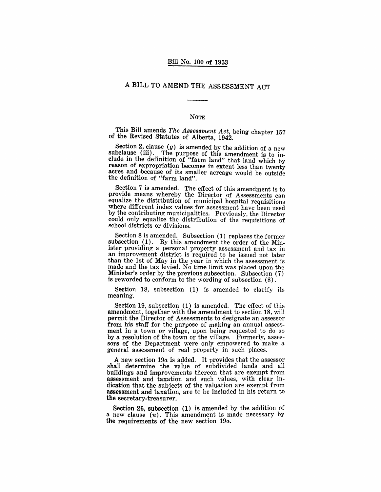#### Bill No. 100 of 1953

## A BILL TO AMEND THE ASSESSMENT ACT

#### NOTE

This Bill amends *The Assessment Act* being chapter 157 of the Revised Statutes of Alberta, 1942.

Section 2, clause  $(g)$  is amended by the addition of a new subclause (iii). The purpose of this amendment is to include in the definition of "farm land" that land which by reason of expropriation becomes in extent less than twenty acres and because of its smaller acreage would be outside the definition of "farm land".

Section 7 is amended. The effect of this amendment is to provide means whereby the Director of Assessments can equalize the distribution of municipal hospital requisitions where different index values for assessment have been used by the contributing municipalities. Previously, the Director could only equalize the distribution of the requisitions of school districts or divisions.

Section 8 is amended. Subsection (1) replaces the former subsection (1). By this amendment the order of the Minister providing a personal property assessment and tax in an improvement district is required to be issued not later than the 1st of May in the year in which the assessment is made and the tax levied. No time limit was placed upon the Minister's order by the previous subsection. Subsection (7) is reworded to conform to the wording of subsection (8).

Section 18, subsection (1) is amended to clarify its meaning.

Section 19, subsection (1) is amended. The effect of this amendment, together with the amendment to section 18, will permit the Director of Assessments to designate an assessor from his staff for the purpose of making an annual assessment in a town or village, upon being requested to do so by a resolution of the town or the village. Formerly, assessors of the Department were only empowered to make a general assessment of real property in such places.

A new section *19a* is added. It provides that the assessor shall determine the value of subdivided lands and all buildings and improvements thereon that are exempt from assessment and taxation and such values, with clear indication that the subjects of the valuation are exempt from assessment and taxation, are to be included in his return to the secretary-treasurer.

Section 26, subsection (1) is amended by the addition of a new clause  $(n)$ . This amendment is made necessary by the requirements of the new section *19a.*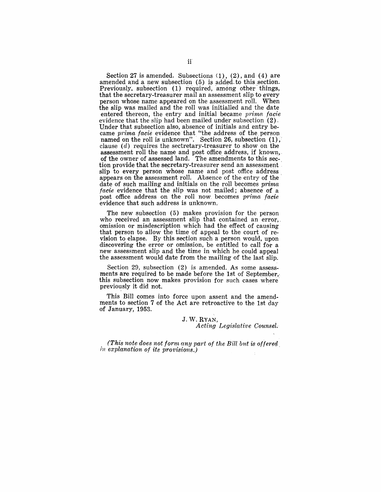Section 27 is amended. Subsections (1), (2), and (4) are amended and a new subsection  $(5)$  is added to this section. Previously, subsection (1) required, among other things, that the secretary-treasurer mail an assessment slip to every person whose name appeared on the assessment roll. When the slip was mailed and the roll was initialled and the date entered thereon, the entry and initial became *prima facie*  evidence that the slip had been mailed under subsection (2)- Under that subsection also, absence of initials and entry became *prima facie* evidence that "the address of the person named on the roll is unknown". Section 26, subsection (1), clause (d) requires the sectretary-treasurer to show on the assessment roll the name and post office.address, if known, of the owner of assessed land. The amendments to this section provide that the secretary-treasurer send an assessment slip to every person whose name and post office address appears on the assessment roll. Absence of the entry of the' date of such mailing and initials on the roll becomes *printa facie* evidence that the slip was not mailed; absence of a post office address on the roll now. becomes *prima facie*  evidence that such address is unknown.

The new subsection (5) makes provision for the person who received an assessment slip that contained an error, omission or misdescription which had the effect of causing that person to allow the time of appeal to the court of revision to elapse. By this section such a person would, upon discovering the error or omission, be entitled to call for a new assessment slip and the time in which he could appeal the assessment would date from the mailing of the last slip.

Section 29, subsection (2) is amended. As some assessments are required to be made before the 1st of September. this subsection now makes provision for such cases where' previously it did not.

This Bill comes into force upon assent and the amendments to section 7 of the Act are retroactive to the 1st day of January, 1953.

> J. W. RYAN, *Acting Legislative Counsel.*

*(This note does not form any part of the Bill but is offered)* in explanation of its provisions.)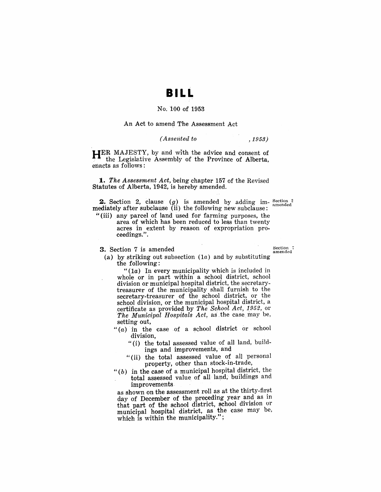# **BILL**

#### No; 100 of 1953

An Act to amend The Assessment Act

#### *( Assented to* ,1953)

**HER MAJESTY, by and with the advice and consent of the Legislative Assembly of the Province of Alberta,** enacts as follows:

**1.** The Assessment Act, being chapter 157 of the Revised Statutes of Alberta, 1942, is hereby amended.

**2.** Section 2, clause  $(g)$  is amended by adding im- $\frac{\text{Section 2}}{\text{amended}}$ mediately after subclause (ii) the following new subclause:

"(iii) any parcel of land used for farming purposes, the area of which has been reduced to less than twenty acres in extent by reason of expropriation proceedings." .

**3.** Section 7 is amended Section  $\frac{3}{4}$ 

(a) by striking out subsection  $(1a)$  and by substituting the following:

" $(1a)$  In every municipality which is included in whole or in part within a school district, school division or municipal hospital district, the secretarytreasurer of the municipality shall furnish to the secretary-treasurer of the school district, or the school division, or the municipal hospital district, a .certificate as provided by *The School Act,* 1952, or *The Municipal Hospitals Act,* as the case may be, setting out,

" $(a)$  in the case of a school district or school division,

- "(i) the total assessed value of all land, buildings and improvements, and
- "(ii) the total assessed value of all personal property, other than stock-in-trade,
- " $(b)$  in the case of a municipal hospital district, the total assessed value of all land, buildings and improvements.

as shown on the assessment roll as at the thirty-first day of December of the preceding year and as in that part of the school district, school division or municipal hospital district, as the case may be, which is within the municipality.";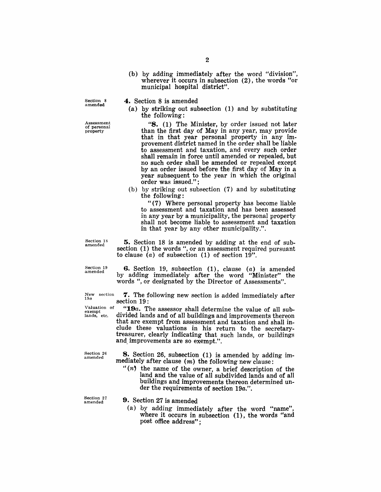(b) by adding immediately after the word "division", wherever it occurs in subsection (2), the words "or municipal hospital district".

Section 8 amended

Assessment of personal property

4. Section 8 is amended

(a) by striking out subsection (1) and by substituting the following:

"8. (1) The Minister, by order issued not later than the first day of May in any year, may provide that in that year personal property in any improvement district named in the order shall be liable to assessment and taxation, and every such order shall remain in force until amended or repealed, but no such order shall be amended or repealed except by an order issued before the first day of May in a year subsequent to the year in which the original order was issued.";

(b) by striking out subsection (7) and by substituting the following:

" $(7)$  Where personal property has become liable to assessment and taxation and has been assessed in any year by a municipality, the personal property shall not become liable to assessment and taxation in that year by any other municipality.".

Section 18 amended

5. Section 18 is amended by adding at the end of subsection (1) the words ", or an assessment required pursuant to clause (a) of subsection (1) of section  $1\bar{9}$ ".

**6.** Section 19, subsection  $(1)$ , clause  $(a)$  is amended by adding immediately after the word "Minister" the words ", or designated by the Director of Assessments".

section  $_{19a}^{\text{New}}$ 

Valuation of exempt lands, etc.

7. The following new section is added immediately after section 19:

*"19a.* The assessor shall determine the value of all subdivided lands and of all buildings and improvements thereon that are exempt from assessment and taxation and shall include these valuations in his return to the secretarytreasurer, clearly indicating that such lands, or buildings and improvements are so exempt.".

Section 26 amended

Section 27 amended

8. Section 26, subsection (1) is amended by adding immediately after clause  $(m)$  the following new clause:

*"(n'* the name of the owner, a brief description of the land and the value of all subdivided lands and of all buildings and improvements thereon determined under the requirements of section *19a.".* 

9. Section 27 is amended

(a) by adding immediately after the word "name", where it occurs in subsection (1), the words "and post office address";

Section 19 amended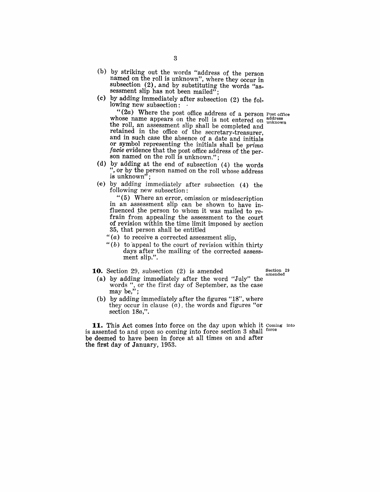- (b) by striking out the words "address of the person named on the roll is unknown", where they occur in subsection (2), and by substituting the words "assessment slip has not been mailed";
- (c) by adding immediately after subsection (2) the following new subsection:

" $(2a)$  Where the post office address of a person Post office whose name appears on the roll is not entered on  $\frac{address}{unknown}$ the roll, an assessment slip shall be completed and retained in the office of the secretary-treasurer, and in such case the absence of a date and initials or symbol representing the initials shall be *prima*  facie evidence that the post office address of the person named on the roll is unknown.";

- (d) by adding at the end of subsection (4) the words , or by the person named on the roll whose address is unknown";
- (e) by adding immediately after subsection (4) the following new subsection:

" $(5)$  Where an error, omission or misdescription in an assessment slip can be shown to have influenced the person to whom it was mailed to refrain from appealing the assessment to the court of revision within the time limit imposed by section 35, that person shall be entitled

- " $(a)$  to receive a corrected assessment slip,
- " $(b)$  to 'appeal to the court of revision within thirty days after the mailing of the corrected assessment slip.".

**10.** Section 29, subsection (2) is amended <sup>Section 29</sup> amended

- (a) by adding immediately after the word "July" the words", or the first day of September, as the case may be,";
- (b) by adding immediately after the figures "18", where they occur in clause  $(a)$ , the words and figures "or section *18a,".*

**11.** This Act comes into force on the day upon which it Coming into accounted to and upon so coming into force socion 2 shall force is assented to and upon so coming into force section 3 shall be deemed to have been in force at all times on and after the first day of January, 1953.